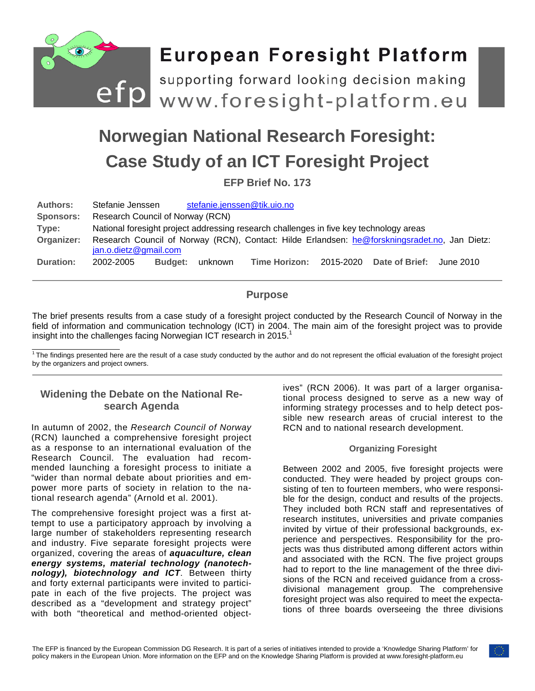

# **Norwegian National Research Foresight: Case Study of an ICT Foresight Project**

**EFP Brief No. 173**

| <b>Authors:</b>  | Stefanie Jenssen                                                                                                       |                |         | stefanie.jenssen@tik.uio.no |  |                          |           |
|------------------|------------------------------------------------------------------------------------------------------------------------|----------------|---------|-----------------------------|--|--------------------------|-----------|
| <b>Sponsors:</b> | Research Council of Norway (RCN)                                                                                       |                |         |                             |  |                          |           |
| Type:            | National foresight project addressing research challenges in five key technology areas                                 |                |         |                             |  |                          |           |
| Organizer:       | Research Council of Norway (RCN), Contact: Hilde Erlandsen: he@forskningsradet.no, Jan Dietz:<br>jan.o.dietz@gmail.com |                |         |                             |  |                          |           |
| Duration:        | 2002-2005                                                                                                              | <b>Budget:</b> | unknown | Time Horizon:               |  | 2015-2020 Date of Brief: | June 2010 |

# **Purpose**

The brief presents results from a case study of a foresight project conducted by the Research Council of Norway in the field of information and communication technology (ICT) in 2004. The main aim of the foresight project was to provide insight into the challenges facing Norwegian ICT research in 2015.<sup>1</sup>

 $\overline{1}$ The findings presented here are the result of a case study conducted by the author and do not represent the official evaluation of the foresight project by the organizers and project owners.

# **Widening the Debate on the National Research Agenda**

In autumn of 2002, the *Research Council of Norway*  (RCN) launched a comprehensive foresight project as a response to an international evaluation of the Research Council. The evaluation had recommended launching a foresight process to initiate a "wider than normal debate about priorities and empower more parts of society in relation to the national research agenda" (Arnold et al. 2001).

The comprehensive foresight project was a first attempt to use a participatory approach by involving a large number of stakeholders representing research and industry. Five separate foresight projects were organized, covering the areas of *aquaculture, clean energy systems, material technology (nanotechnology), biotechnology and ICT*. Between thirty and forty external participants were invited to participate in each of the five projects. The project was described as a "development and strategy project" with both "theoretical and method-oriented objectives" (RCN 2006). It was part of a larger organisational process designed to serve as a new way of informing strategy processes and to help detect possible new research areas of crucial interest to the RCN and to national research development.

## **Organizing Foresight**

Between 2002 and 2005, five foresight projects were conducted. They were headed by project groups consisting of ten to fourteen members, who were responsible for the design, conduct and results of the projects. They included both RCN staff and representatives of research institutes, universities and private companies invited by virtue of their professional backgrounds, experience and perspectives. Responsibility for the projects was thus distributed among different actors within and associated with the RCN. The five project groups had to report to the line management of the three divisions of the RCN and received guidance from a crossdivisional management group. The comprehensive foresight project was also required to meet the expectations of three boards overseeing the three divisions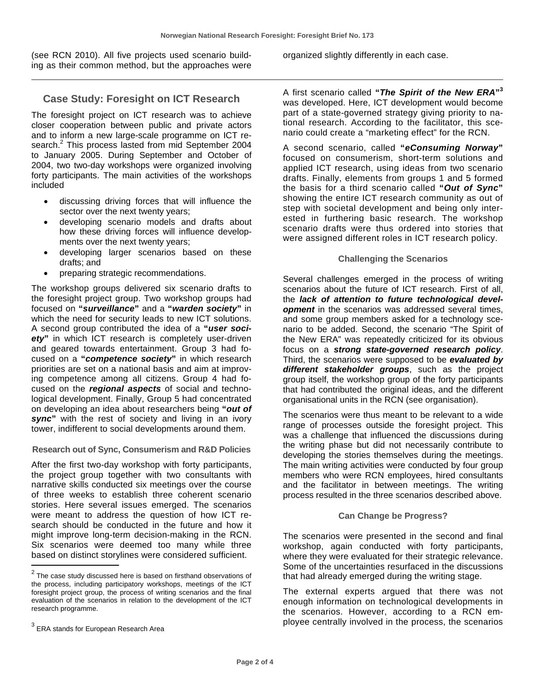(see RCN 2010). All five projects used scenario building as their common method, but the approaches were

## **Case Study: Foresight on ICT Research**

The foresight project on ICT research was to achieve closer cooperation between public and private actors and to inform a new large-scale programme on ICT research.<sup>2</sup> This process lasted from mid September 2004 to January 2005. During September and October of 2004, two two-day workshops were organized involving forty participants. The main activities of the workshops included

- discussing driving forces that will influence the sector over the next twenty years;
- developing scenario models and drafts about how these driving forces will influence developments over the next twenty years;
- developing larger scenarios based on these drafts; and
- preparing strategic recommendations.

The workshop groups delivered six scenario drafts to the foresight project group. Two workshop groups had focused on **"***surveillance***"** and a **"***warden society***"** in which the need for security leads to new ICT solutions. A second group contributed the idea of a **"***user society***"** in which ICT research is completely user-driven and geared towards entertainment. Group 3 had focused on a **"***competence society***"** in which research priorities are set on a national basis and aim at improving competence among all citizens. Group 4 had focused on the *regional aspects* of social and technological development. Finally, Group 5 had concentrated on developing an idea about researchers being **"***out of sync***"** with the rest of society and living in an ivory tower, indifferent to social developments around them.

#### **Research out of Sync, Consumerism and R&D Policies**

After the first two-day workshop with forty participants, the project group together with two consultants with narrative skills conducted six meetings over the course of three weeks to establish three coherent scenario stories. Here several issues emerged. The scenarios were meant to address the question of how ICT research should be conducted in the future and how it might improve long-term decision-making in the RCN. Six scenarios were deemed too many while three based on distinct storylines were considered sufficient.

organized slightly differently in each case.

A first scenario called **"***The Spirit of the New ERA***"<sup>3</sup>** was developed. Here, ICT development would become part of a state-governed strategy giving priority to national research. According to the facilitator, this scenario could create a "marketing effect" for the RCN.

A second scenario, called **"***eConsuming Norway***"** focused on consumerism, short-term solutions and applied ICT research, using ideas from two scenario drafts. Finally, elements from groups 1 and 5 formed the basis for a third scenario called **"***Out of Sync***"** showing the entire ICT research community as out of step with societal development and being only interested in furthering basic research. The workshop scenario drafts were thus ordered into stories that were assigned different roles in ICT research policy.

#### **Challenging the Scenarios**

Several challenges emerged in the process of writing scenarios about the future of ICT research. First of all, the *lack of attention to future technological development* in the scenarios was addressed several times, and some group members asked for a technology scenario to be added. Second, the scenario "The Spirit of the New ERA" was repeatedly criticized for its obvious focus on a *strong state-governed research policy*. Third, the scenarios were supposed to be *evaluated by different stakeholder groups*, such as the project group itself, the workshop group of the forty participants that had contributed the original ideas, and the different organisational units in the RCN (see organisation).

The scenarios were thus meant to be relevant to a wide range of processes outside the foresight project. This was a challenge that influenced the discussions during the writing phase but did not necessarily contribute to developing the stories themselves during the meetings. The main writing activities were conducted by four group members who were RCN employees, hired consultants and the facilitator in between meetings. The writing process resulted in the three scenarios described above.

#### **Can Change be Progress?**

The scenarios were presented in the second and final workshop, again conducted with forty participants, where they were evaluated for their strategic relevance. Some of the uncertainties resurfaced in the discussions that had already emerged during the writing stage.

The external experts argued that there was not enough information on technological developments in the scenarios. However, according to a RCN employee centrally involved in the process, the scenarios

 $2$  The case study discussed here is based on firsthand observations of the process, including participatory workshops, meetings of the ICT foresight project group, the process of writing scenarios and the final evaluation of the scenarios in relation to the development of the ICT research programme.

 $3$  ERA stands for European Research Area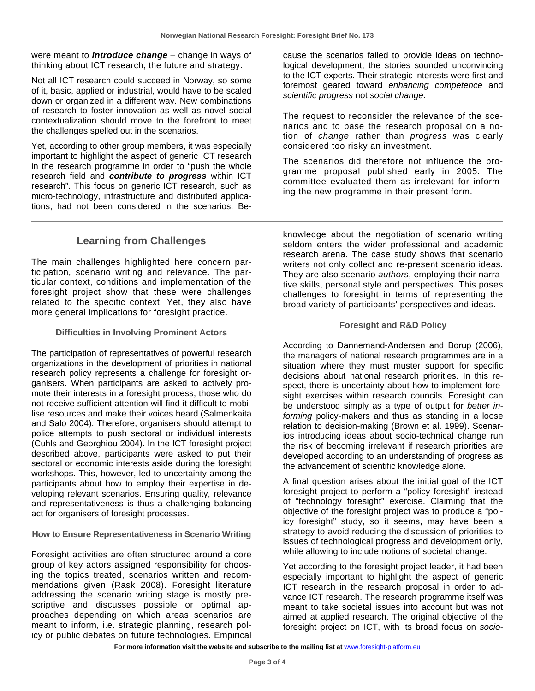were meant to *introduce change* – change in ways of thinking about ICT research, the future and strategy.

Not all ICT research could succeed in Norway, so some of it, basic, applied or industrial, would have to be scaled down or organized in a different way. New combinations of research to foster innovation as well as novel social contextualization should move to the forefront to meet the challenges spelled out in the scenarios.

Yet, according to other group members, it was especially important to highlight the aspect of generic ICT research in the research programme in order to "push the whole research field and *contribute to progress* within ICT research". This focus on generic ICT research, such as micro-technology, infrastructure and distributed applications, had not been considered in the scenarios. Be-

cause the scenarios failed to provide ideas on technological development, the stories sounded unconvincing to the ICT experts. Their strategic interests were first and foremost geared toward *enhancing competence* and *scientific progress* not *social change*.

The request to reconsider the relevance of the scenarios and to base the research proposal on a notion of *change* rather than *progress* was clearly considered too risky an investment.

The scenarios did therefore not influence the programme proposal published early in 2005. The committee evaluated them as irrelevant for informing the new programme in their present form.

# **Learning from Challenges**

The main challenges highlighted here concern participation, scenario writing and relevance. The particular context, conditions and implementation of the foresight project show that these were challenges related to the specific context. Yet, they also have more general implications for foresight practice.

#### **Difficulties in Involving Prominent Actors**

The participation of representatives of powerful research organizations in the development of priorities in national research policy represents a challenge for foresight organisers. When participants are asked to actively promote their interests in a foresight process, those who do not receive sufficient attention will find it difficult to mobilise resources and make their voices heard (Salmenkaita and Salo 2004). Therefore, organisers should attempt to police attempts to push sectoral or individual interests (Cuhls and Georghiou 2004). In the ICT foresight project described above, participants were asked to put their sectoral or economic interests aside during the foresight workshops. This, however, led to uncertainty among the participants about how to employ their expertise in developing relevant scenarios. Ensuring quality, relevance and representativeness is thus a challenging balancing act for organisers of foresight processes.

## **How to Ensure Representativeness in Scenario Writing**

Foresight activities are often structured around a core group of key actors assigned responsibility for choosing the topics treated, scenarios written and recommendations given (Rask 2008). Foresight literature addressing the scenario writing stage is mostly prescriptive and discusses possible or optimal approaches depending on which areas scenarios are meant to inform, i.e. strategic planning, research policy or public debates on future technologies. Empirical

knowledge about the negotiation of scenario writing seldom enters the wider professional and academic research arena. The case study shows that scenario writers not only collect and re-present scenario ideas. They are also scenario *authors*, employing their narrative skills, personal style and perspectives. This poses challenges to foresight in terms of representing the broad variety of participants' perspectives and ideas.

#### **Foresight and R&D Policy**

According to Dannemand-Andersen and Borup (2006), the managers of national research programmes are in a situation where they must muster support for specific decisions about national research priorities. In this respect, there is uncertainty about how to implement foresight exercises within research councils. Foresight can be understood simply as a type of output for *better informing* policy-makers and thus as standing in a loose relation to decision-making (Brown et al. 1999). Scenarios introducing ideas about socio-technical change run the risk of becoming irrelevant if research priorities are developed according to an understanding of progress as the advancement of scientific knowledge alone.

A final question arises about the initial goal of the ICT foresight project to perform a "policy foresight" instead of "technology foresight" exercise. Claiming that the objective of the foresight project was to produce a "policy foresight" study, so it seems, may have been a strategy to avoid reducing the discussion of priorities to issues of technological progress and development only, while allowing to include notions of societal change.

Yet according to the foresight project leader, it had been especially important to highlight the aspect of generic ICT research in the research proposal in order to advance ICT research. The research programme itself was meant to take societal issues into account but was not aimed at applied research. The original objective of the foresight project on ICT, with its broad focus on *socio-*